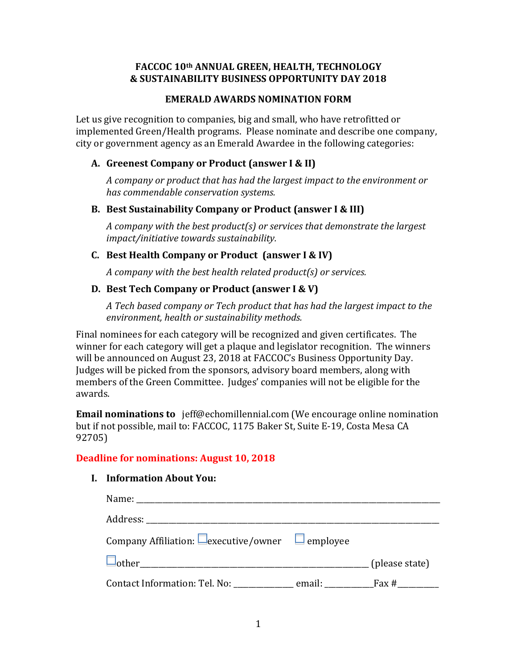## **FACCOC 10th ANNUAL GREEN, HEALTH, TECHNOLOGY & SUSTAINABILITY BUSINESS OPPORTUNITY DAY 2018**

#### **EMERALD AWARDS NOMINATION FORM**

Let us give recognition to companies, big and small, who have retrofitted or implemented Green/Health programs. Please nominate and describe one company, city or government agency as an Emerald Awardee in the following categories:

#### **A. Greenest Company or Product (answer I & II)**

*A company or product that has had the largest impact to the environment or has commendable conservation systems.*

### **B. Best Sustainability Company or Product (answer I & III)**

*A company with the best product(s) or services that demonstrate the largest impact/initiative towards sustainability.*

### **C. Best Health Company or Product (answer I & IV)**

*A company with the best health related product(s) or services.*

### **D. Best Tech Company or Product (answer I & V)**

*A Tech based company or Tech product that has had the largest impact to the environment, health or sustainability methods.*

Final nominees for each category will be recognized and given certificates. The winner for each category will get a plaque and legislator recognition. The winners will be announced on August 23, 2018 at FACCOC's Business Opportunity Day. Judges will be picked from the sponsors, advisory board members, along with members of the Green Committee. Judges' companies will not be eligible for the awards.

**Email nominations to** jeff@echomillennial.com (We encourage online nomination but if not possible, mail to: FACCOC, 1175 Baker St, Suite E-19, Costa Mesa CA 92705)

### **Deadline for nominations: August 10, 2018**

### **I. Information About You:**

| Company Affiliation: $\Box$ executive/owner $\Box$ employee |  |
|-------------------------------------------------------------|--|
|                                                             |  |
| Contact Information: Tel. No: email: Fax #                  |  |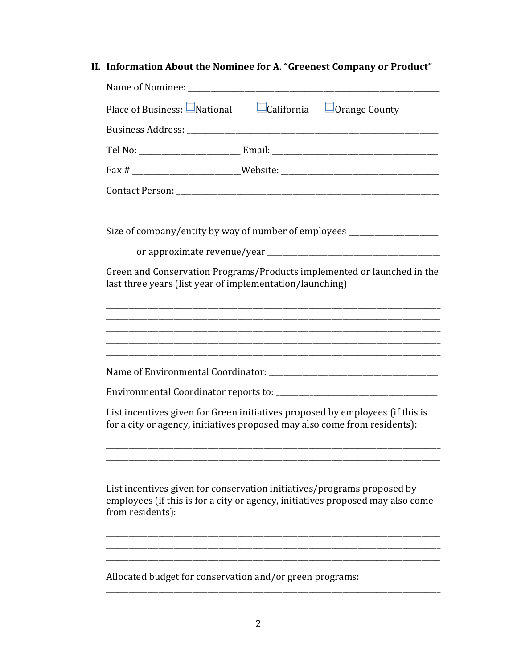**II. Information About the Nominee for A. "Greenest Company or Product"**

| Name of Nominee:                                                                                                                                                                                                        |                                        |  |  |  |
|-------------------------------------------------------------------------------------------------------------------------------------------------------------------------------------------------------------------------|----------------------------------------|--|--|--|
| Place of Business: $\Box$ National                                                                                                                                                                                      | $\Box$ California $\Box$ Orange County |  |  |  |
|                                                                                                                                                                                                                         |                                        |  |  |  |
|                                                                                                                                                                                                                         |                                        |  |  |  |
|                                                                                                                                                                                                                         |                                        |  |  |  |
|                                                                                                                                                                                                                         |                                        |  |  |  |
| Size of company/entity by way of number of employees ___________________________<br>Green and Conservation Programs/Products implemented or launched in the<br>last three years (list year of implementation/launching) |                                        |  |  |  |
|                                                                                                                                                                                                                         |                                        |  |  |  |
|                                                                                                                                                                                                                         |                                        |  |  |  |
|                                                                                                                                                                                                                         |                                        |  |  |  |
| List incentives given for Green initiatives proposed by employees (if this is<br>for a city or agency, initiatives proposed may also come from residents):                                                              |                                        |  |  |  |
|                                                                                                                                                                                                                         |                                        |  |  |  |
| List incentives given for conservation initiatives/programs proposed by<br>employees (if this is for a city or agency, initiatives proposed may also come<br>from residents):                                           |                                        |  |  |  |
|                                                                                                                                                                                                                         |                                        |  |  |  |
| Allocated budget for conservation and/or green programs:                                                                                                                                                                |                                        |  |  |  |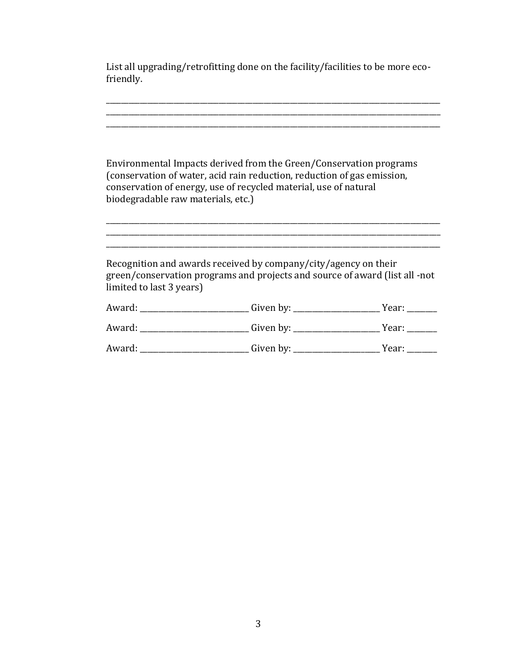List all upgrading/retrofitting done on the facility/facilities to be more ecofriendly.

\_\_\_\_\_\_\_\_\_\_\_\_\_\_\_\_\_\_\_\_\_\_\_\_\_\_\_\_\_\_\_\_\_\_\_\_\_\_\_\_\_\_\_\_\_\_\_\_\_\_\_\_\_\_\_\_\_\_\_\_\_\_\_\_\_\_\_\_\_\_\_\_\_\_\_\_\_\_\_\_\_\_\_\_\_\_\_\_\_

\_\_\_\_\_\_\_\_\_\_\_\_\_\_\_\_\_\_\_\_\_\_\_\_\_\_\_\_\_\_\_\_\_\_\_\_\_\_\_\_\_\_\_\_\_\_\_\_\_\_\_\_\_\_\_\_\_\_\_\_\_\_\_\_\_\_\_\_\_\_\_\_\_\_\_\_\_\_\_\_\_\_\_\_\_\_\_\_\_ \_\_\_\_\_\_\_\_\_\_\_\_\_\_\_\_\_\_\_\_\_\_\_\_\_\_\_\_\_\_\_\_\_\_\_\_\_\_\_\_\_\_\_\_\_\_\_\_\_\_\_\_\_\_\_\_\_\_\_\_\_\_\_\_\_\_\_\_\_\_\_\_\_\_\_\_\_\_\_\_\_\_\_\_\_\_\_\_\_ Environmental Impacts derived from the Green/Conservation programs (conservation of water, acid rain reduction, reduction of gas emission, conservation of energy, use of recycled material, use of natural biodegradable raw materials, etc.) \_\_\_\_\_\_\_\_\_\_\_\_\_\_\_\_\_\_\_\_\_\_\_\_\_\_\_\_\_\_\_\_\_\_\_\_\_\_\_\_\_\_\_\_\_\_\_\_\_\_\_\_\_\_\_\_\_\_\_\_\_\_\_\_\_\_\_\_\_\_\_\_\_\_\_\_\_\_\_\_\_\_\_\_\_\_\_\_\_ \_\_\_\_\_\_\_\_\_\_\_\_\_\_\_\_\_\_\_\_\_\_\_\_\_\_\_\_\_\_\_\_\_\_\_\_\_\_\_\_\_\_\_\_\_\_\_\_\_\_\_\_\_\_\_\_\_\_\_\_\_\_\_\_\_\_\_\_\_\_\_\_\_\_\_\_\_\_\_\_\_\_\_\_\_\_\_\_\_ \_\_\_\_\_\_\_\_\_\_\_\_\_\_\_\_\_\_\_\_\_\_\_\_\_\_\_\_\_\_\_\_\_\_\_\_\_\_\_\_\_\_\_\_\_\_\_\_\_\_\_\_\_\_\_\_\_\_\_\_\_\_\_\_\_\_\_\_\_\_\_\_\_\_\_\_\_\_\_\_\_\_\_\_\_\_\_\_\_ Recognition and awards received by company/city/agency on their green/conservation programs and projects and source of award (list all -not limited to last 3 years) Award: \_\_\_\_\_\_\_\_\_\_\_\_\_\_\_\_\_\_\_\_\_\_\_\_\_\_\_\_\_\_Given by: \_\_\_\_\_\_\_\_\_\_\_\_\_\_\_\_\_\_\_\_\_\_\_\_\_\_\_\_\_\_\_\_\_Year: \_\_\_\_\_\_\_\_\_\_\_\_\_\_ Award: \_\_\_\_\_\_\_\_\_\_\_\_\_\_\_\_\_\_\_\_\_\_\_\_\_\_\_\_\_\_\_\_\_Given by: \_\_\_\_\_\_\_\_\_\_\_\_\_\_\_\_\_\_\_\_\_\_\_\_\_\_\_\_\_Year: \_\_\_\_\_\_\_\_\_\_\_\_\_\_ Award: \_\_\_\_\_\_\_\_\_\_\_\_\_\_\_\_\_\_\_\_\_\_\_\_\_\_\_\_\_\_\_\_\_Given by: \_\_\_\_\_\_\_\_\_\_\_\_\_\_\_\_\_\_\_\_\_\_\_\_\_\_\_\_\_Year: \_\_\_\_\_\_\_\_\_\_\_\_\_\_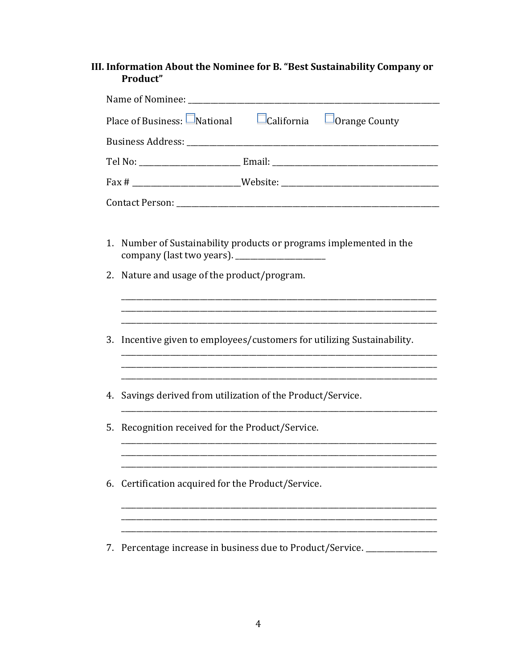# III. Information About the Nominee for B. "Best Sustainability Company or Product"

| Place of Business: $\Box$ National $\Box$ California $\Box$ Orange County          |                                                                      |  |  |  |
|------------------------------------------------------------------------------------|----------------------------------------------------------------------|--|--|--|
|                                                                                    |                                                                      |  |  |  |
|                                                                                    |                                                                      |  |  |  |
|                                                                                    |                                                                      |  |  |  |
|                                                                                    |                                                                      |  |  |  |
| Number of Sustainability products or programs implemented in the<br>$\mathbf{1}$ . |                                                                      |  |  |  |
|                                                                                    | 2. Nature and usage of the product/program.                          |  |  |  |
|                                                                                    |                                                                      |  |  |  |
| 3.                                                                                 | Incentive given to employees/customers for utilizing Sustainability. |  |  |  |
|                                                                                    |                                                                      |  |  |  |
| 4.                                                                                 | Savings derived from utilization of the Product/Service.             |  |  |  |
| 5.                                                                                 | Recognition received for the Product/Service.                        |  |  |  |
|                                                                                    |                                                                      |  |  |  |
| 6.                                                                                 | Certification acquired for the Product/Service.                      |  |  |  |
|                                                                                    |                                                                      |  |  |  |

7. Percentage increase in business due to Product/Service. \_\_\_\_\_\_\_\_\_\_\_\_\_\_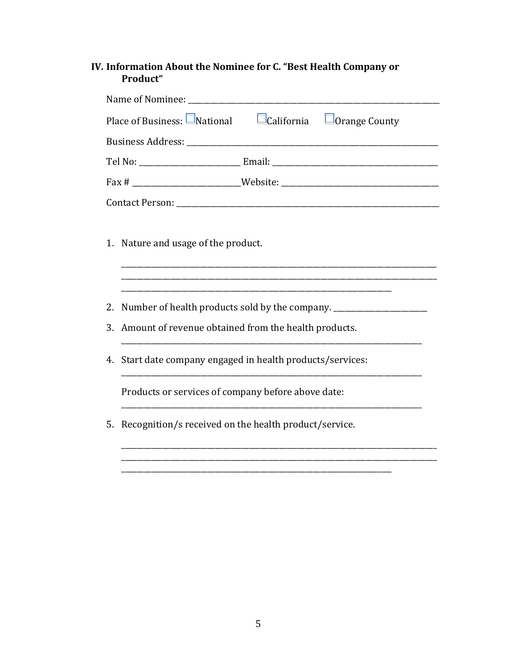# IV. Information About the Nominee for C. "Best Health Company or Product"

| Place of Business: $\Box$ National $\Box$ California $\Box$ Orange County              |  |  |  |  |
|----------------------------------------------------------------------------------------|--|--|--|--|
|                                                                                        |  |  |  |  |
| Tel No: ________________________________Email: __________________________________      |  |  |  |  |
|                                                                                        |  |  |  |  |
|                                                                                        |  |  |  |  |
| 1. Nature and usage of the product.                                                    |  |  |  |  |
| Number of health products sold by the company. _________________________________<br>2. |  |  |  |  |
| Amount of revenue obtained from the health products.<br>3.                             |  |  |  |  |
| Start date company engaged in health products/services:<br>4.                          |  |  |  |  |
| Products or services of company before above date:                                     |  |  |  |  |
| Recognition/s received on the health product/service.<br>5.                            |  |  |  |  |
|                                                                                        |  |  |  |  |